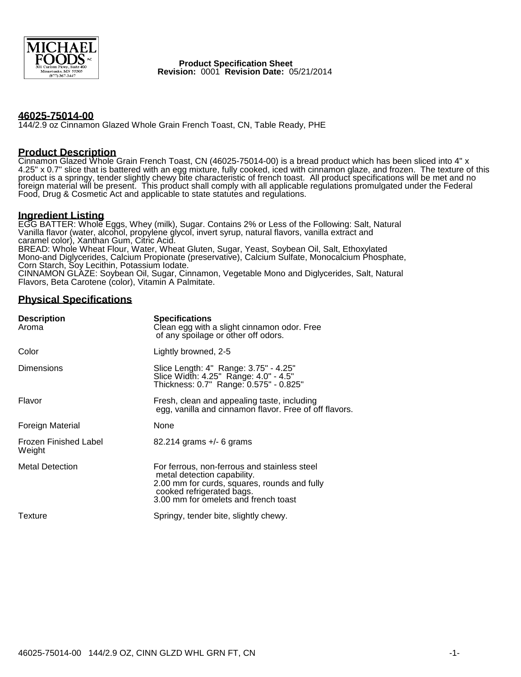

 **Product Specification Sheet Revision:** 0001 **Revision Date:** 05/21/2014

#### **46025-75014-00**

144/2.9 oz Cinnamon Glazed Whole Grain French Toast, CN, Table Ready, PHE

#### **Product Description**

Cinnamon Glazed Whole Grain French Toast, CN (46025-75014-00) is a bread product which has been sliced into 4" x 4.25" x 0.7" slice that is battered with an egg mixture, fully cooked, iced with cinnamon glaze, and frozen. The texture of this product is a springy, tender slightly chewy bite characteristic of french toast. All product specifications will be met and no foreign material will be present. This product shall comply with all applicable regulations promulgated under the Federal Food, Drug & Cosmetic Act and applicable to state statutes and regulations.

#### **Ingredient Listing**

EGG BATTER: Whole Eggs, Whey (milk), Sugar. Contains 2% or Less of the Following: Salt, Natural Vanilla flavor (water, alcohol, propylene glycol, invert syrup, natural flavors, vanilla extract and caramel color), Xanthan Gum, Citric Acid. BREAD: Whole Wheat Flour, Water, Wheat Gluten, Sugar, Yeast, Soybean Oil, Salt, Ethoxylated Mono-and Diglycerides, Calcium Propionate (preservative), Calcium Sulfate, Monocalcium Phosphate, Corn Starch, Soy Lecithin, Potassium Iodate. CINNAMON GLAZE: Soybean Oil, Sugar, Cinnamon, Vegetable Mono and Diglycerides, Salt, Natural Flavors, Beta Carotene (color), Vitamin A Palmitate.

## **Physical Specifications**

| <b>Description</b><br>Aroma            | <b>Specifications</b><br>Clean egg with a slight cinnamon odor. Free<br>of any spoilage or other off odors.                                                                                      |  |  |
|----------------------------------------|--------------------------------------------------------------------------------------------------------------------------------------------------------------------------------------------------|--|--|
| Color                                  | Lightly browned, 2-5                                                                                                                                                                             |  |  |
| <b>Dimensions</b>                      | Slice Length: 4" Range: 3.75" - 4.25"<br>Slice Width: 4.25" Range: 4.0" - 4.5"<br>Thickness: 0.7" Range: 0.575" - 0.825"                                                                         |  |  |
| Flavor                                 | Fresh, clean and appealing taste, including<br>egg, vanilla and cinnamon flavor. Free of off flavors.                                                                                            |  |  |
| Foreign Material                       | None                                                                                                                                                                                             |  |  |
| <b>Frozen Finished Label</b><br>Weight | $82.214$ grams $+/-$ 6 grams                                                                                                                                                                     |  |  |
| <b>Metal Detection</b>                 | For ferrous, non-ferrous and stainless steel<br>metal detection capability.<br>2.00 mm for curds, squares, rounds and fully<br>cooked refrigerated bags.<br>3.00 mm for omelets and french toast |  |  |
| Texture                                | Springy, tender bite, slightly chewy.                                                                                                                                                            |  |  |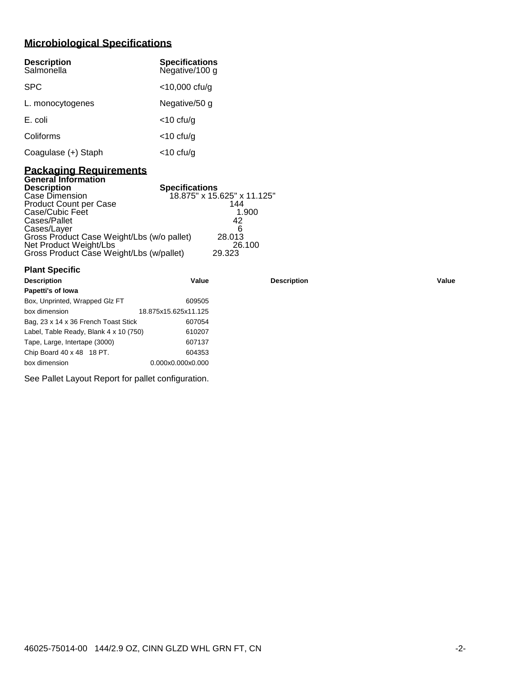# **Microbiological Specifications**

| <b>Description</b><br>Salmonella | <b>Specifications</b><br>Negative/100 g |
|----------------------------------|-----------------------------------------|
| <b>SPC</b>                       | $<$ 10,000 cfu/g                        |
| L. monocytogenes                 | Negative/50 g                           |
| E. coli                          | $<$ 10 cfu/g                            |
| Coliforms                        | $<$ 10 cfu/g                            |
| Coagulase (+) Staph              | <10 cfu/g                               |

#### **Packaging Requirements General Information**

**Plant Specific**

| <b>Description</b>                         | <b>Specifications</b>       |
|--------------------------------------------|-----------------------------|
| Case Dimension                             | 18.875" x 15.625" x 11.125" |
| <b>Product Count per Case</b>              | 144                         |
| Case/Cubic Feet                            | 1.900                       |
| Cases/Pallet                               | 42                          |
| Cases/Layer                                | ิค                          |
| Gross Product Case Weight/Lbs (w/o pallet) | 28,013                      |
| Net Product Weight/Lbs                     | 26.100                      |
| Gross Product Case Weight/Lbs (w/pallet)   | 29.323                      |

| <b>Description</b>                     | Value                | <b>Description</b> | Value |
|----------------------------------------|----------------------|--------------------|-------|
| Papetti's of Iowa                      |                      |                    |       |
| Box, Unprinted, Wrapped Glz FT         | 609505               |                    |       |
| box dimension                          | 18.875x15.625x11.125 |                    |       |
| Bag, 23 x 14 x 36 French Toast Stick   | 607054               |                    |       |
| Label, Table Ready, Blank 4 x 10 (750) | 610207               |                    |       |
| Tape, Large, Intertape (3000)          | 607137               |                    |       |
| Chip Board 40 x 48 18 PT.              | 604353               |                    |       |
| box dimension                          | 0.000x0.000x0.000    |                    |       |
|                                        |                      |                    |       |

See Pallet Layout Report for pallet configuration.